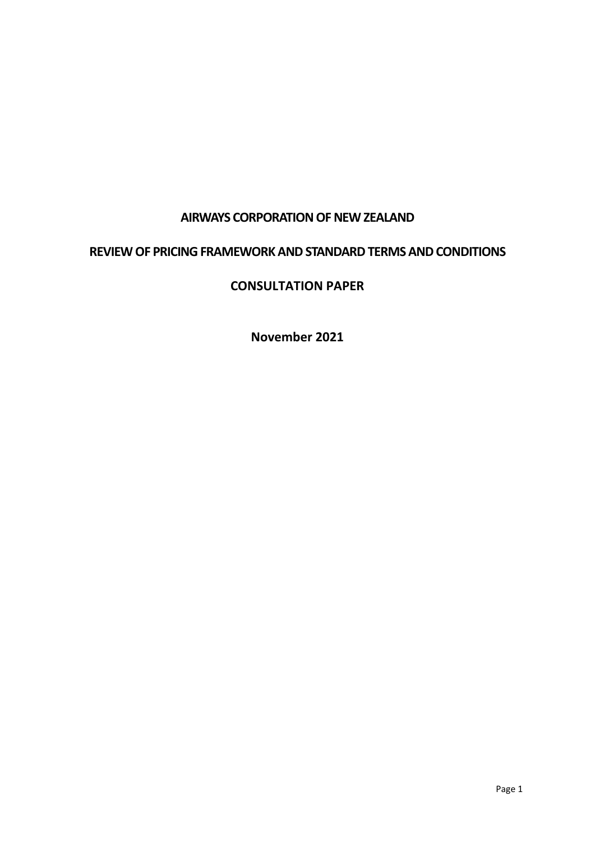### **AIRWAYS CORPORATION OF NEW ZEALAND**

#### **REVIEW OF PRICING FRAMEWORK AND STANDARD TERMS AND CONDITIONS**

#### **CONSULTATION PAPER**

**November 2021**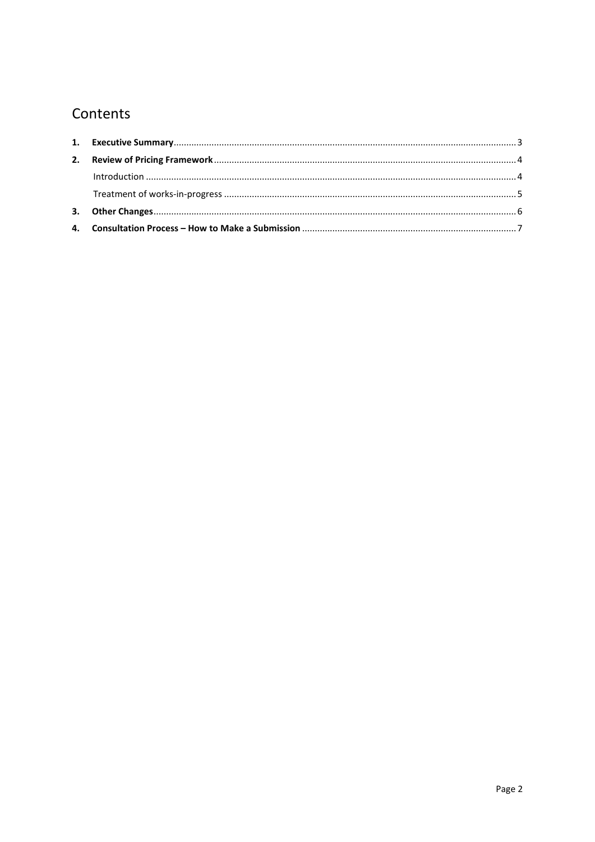# Contents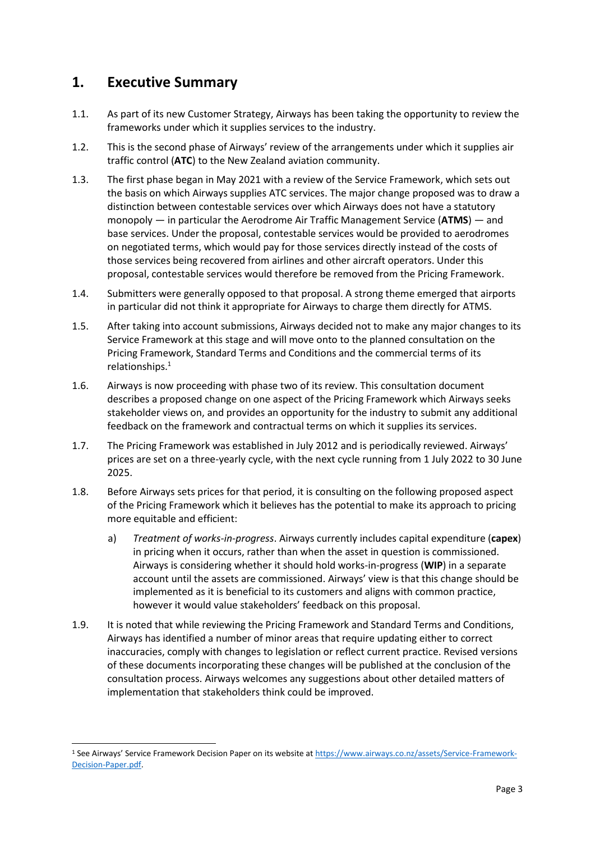### <span id="page-2-0"></span>**1. Executive Summary**

- 1.1. As part of its new Customer Strategy, Airways has been taking the opportunity to review the frameworks under which it supplies services to the industry.
- 1.2. This is the second phase of Airways' review of the arrangements under which it supplies air traffic control (**ATC**) to the New Zealand aviation community.
- 1.3. The first phase began in May 2021 with a review of the Service Framework, which sets out the basis on which Airways supplies ATC services. The major change proposed was to draw a distinction between contestable services over which Airways does not have a statutory monopoly — in particular the Aerodrome Air Traffic Management Service (**ATMS**) — and base services. Under the proposal, contestable services would be provided to aerodromes on negotiated terms, which would pay for those services directly instead of the costs of those services being recovered from airlines and other aircraft operators. Under this proposal, contestable services would therefore be removed from the Pricing Framework.
- 1.4. Submitters were generally opposed to that proposal. A strong theme emerged that airports in particular did not think it appropriate for Airways to charge them directly for ATMS.
- 1.5. After taking into account submissions, Airways decided not to make any major changes to its Service Framework at this stage and will move onto to the planned consultation on the Pricing Framework, Standard Terms and Conditions and the commercial terms of its relationships.<sup>1</sup>
- 1.6. Airways is now proceeding with phase two of its review. This consultation document describes a proposed change on one aspect of the Pricing Framework which Airways seeks stakeholder views on, and provides an opportunity for the industry to submit any additional feedback on the framework and contractual terms on which it supplies its services.
- 1.7. The Pricing Framework was established in July 2012 and is periodically reviewed. Airways' prices are set on a three-yearly cycle, with the next cycle running from 1 July 2022 to 30 June 2025.
- 1.8. Before Airways sets prices for that period, it is consulting on the following proposed aspect of the Pricing Framework which it believes has the potential to make its approach to pricing more equitable and efficient:
	- a) *Treatment of works-in-progress*. Airways currently includes capital expenditure (**capex**) in pricing when it occurs, rather than when the asset in question is commissioned. Airways is considering whether it should hold works-in-progress (**WIP**) in a separate account until the assets are commissioned. Airways' view is that this change should be implemented as it is beneficial to its customers and aligns with common practice, however it would value stakeholders' feedback on this proposal.
- 1.9. It is noted that while reviewing the Pricing Framework and Standard Terms and Conditions, Airways has identified a number of minor areas that require updating either to correct inaccuracies, comply with changes to legislation or reflect current practice. Revised versions of these documents incorporating these changes will be published at the conclusion of the consultation process. Airways welcomes any suggestions about other detailed matters of implementation that stakeholders think could be improved.

<sup>1</sup> See Airways' Service Framework Decision Paper on its website a[t https://www.airways.co.nz/assets/Service-Framework-](https://www.airways.co.nz/assets/Service-Framework-Decision-Paper.pdf)[Decision-Paper.pdf.](https://www.airways.co.nz/assets/Service-Framework-Decision-Paper.pdf)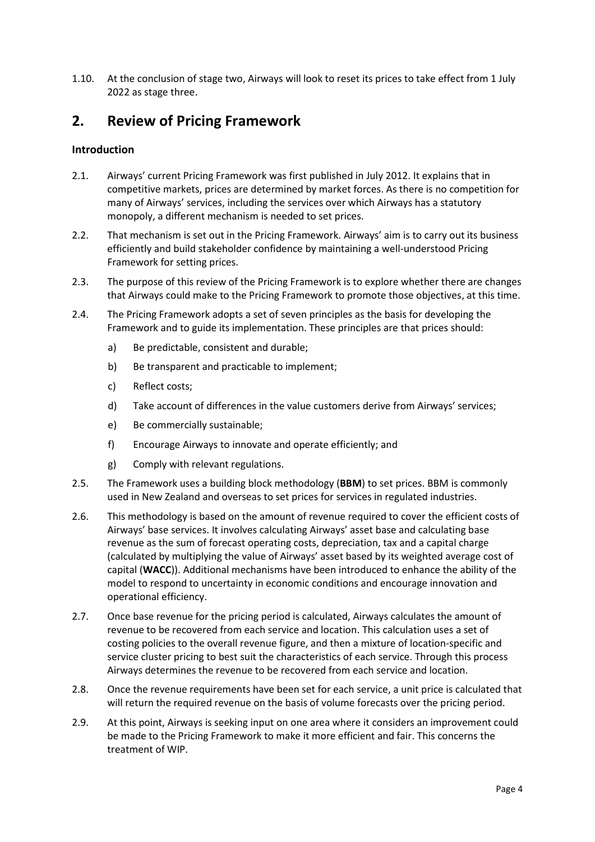1.10. At the conclusion of stage two, Airways will look to reset its prices to take effect from 1 July 2022 as stage three.

# <span id="page-3-0"></span>**2. Review of Pricing Framework**

#### <span id="page-3-1"></span>**Introduction**

- 2.1. Airways' current Pricing Framework was first published in July 2012. It explains that in competitive markets, prices are determined by market forces. As there is no competition for many of Airways' services, including the services over which Airways has a statutory monopoly, a different mechanism is needed to set prices.
- 2.2. That mechanism is set out in the Pricing Framework. Airways' aim is to carry out its business efficiently and build stakeholder confidence by maintaining a well-understood Pricing Framework for setting prices.
- 2.3. The purpose of this review of the Pricing Framework is to explore whether there are changes that Airways could make to the Pricing Framework to promote those objectives, at this time.
- 2.4. The Pricing Framework adopts a set of seven principles as the basis for developing the Framework and to guide its implementation. These principles are that prices should:
	- a) Be predictable, consistent and durable;
	- b) Be transparent and practicable to implement;
	- c) Reflect costs;
	- d) Take account of differences in the value customers derive from Airways' services;
	- e) Be commercially sustainable;
	- f) Encourage Airways to innovate and operate efficiently; and
	- g) Comply with relevant regulations.
- 2.5. The Framework uses a building block methodology (**BBM**) to set prices. BBM is commonly used in New Zealand and overseas to set prices for services in regulated industries.
- 2.6. This methodology is based on the amount of revenue required to cover the efficient costs of Airways' base services. It involves calculating Airways' asset base and calculating base revenue as the sum of forecast operating costs, depreciation, tax and a capital charge (calculated by multiplying the value of Airways' asset based by its weighted average cost of capital (**WACC**)). Additional mechanisms have been introduced to enhance the ability of the model to respond to uncertainty in economic conditions and encourage innovation and operational efficiency.
- 2.7. Once base revenue for the pricing period is calculated, Airways calculates the amount of revenue to be recovered from each service and location. This calculation uses a set of costing policies to the overall revenue figure, and then a mixture of location-specific and service cluster pricing to best suit the characteristics of each service. Through this process Airways determines the revenue to be recovered from each service and location.
- 2.8. Once the revenue requirements have been set for each service, a unit price is calculated that will return the required revenue on the basis of volume forecasts over the pricing period.
- 2.9. At this point, Airways is seeking input on one area where it considers an improvement could be made to the Pricing Framework to make it more efficient and fair. This concerns the treatment of WIP.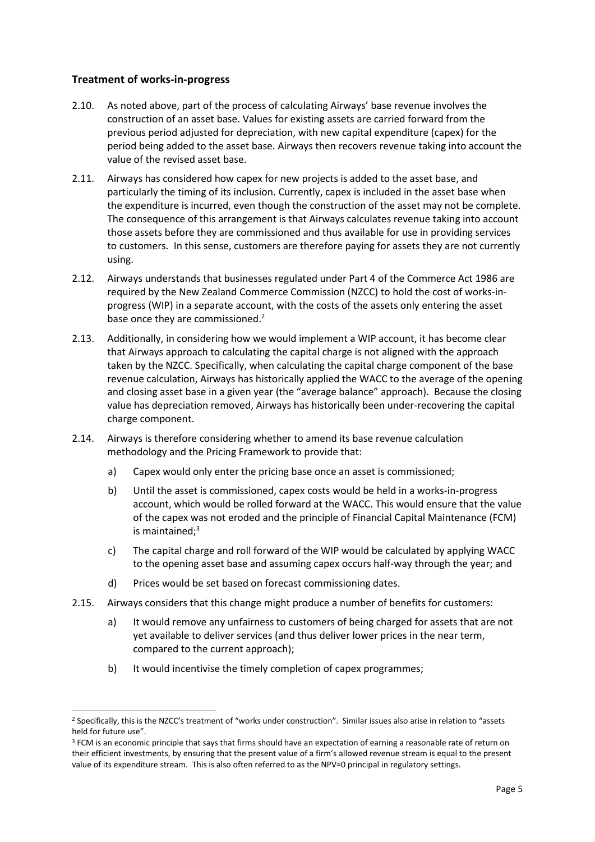#### <span id="page-4-0"></span>**Treatment of works-in-progress**

- 2.10. As noted above, part of the process of calculating Airways' base revenue involves the construction of an asset base. Values for existing assets are carried forward from the previous period adjusted for depreciation, with new capital expenditure (capex) for the period being added to the asset base. Airways then recovers revenue taking into account the value of the revised asset base.
- 2.11. Airways has considered how capex for new projects is added to the asset base, and particularly the timing of its inclusion. Currently, capex is included in the asset base when the expenditure is incurred, even though the construction of the asset may not be complete. The consequence of this arrangement is that Airways calculates revenue taking into account those assets before they are commissioned and thus available for use in providing services to customers. In this sense, customers are therefore paying for assets they are not currently using.
- 2.12. Airways understands that businesses regulated under Part 4 of the Commerce Act 1986 are required by the New Zealand Commerce Commission (NZCC) to hold the cost of works-inprogress (WIP) in a separate account, with the costs of the assets only entering the asset base once they are commissioned.<sup>2</sup>
- 2.13. Additionally, in considering how we would implement a WIP account, it has become clear that Airways approach to calculating the capital charge is not aligned with the approach taken by the NZCC. Specifically, when calculating the capital charge component of the base revenue calculation, Airways has historically applied the WACC to the average of the opening and closing asset base in a given year (the "average balance" approach). Because the closing value has depreciation removed, Airways has historically been under-recovering the capital charge component.
- 2.14. Airways is therefore considering whether to amend its base revenue calculation methodology and the Pricing Framework to provide that:
	- a) Capex would only enter the pricing base once an asset is commissioned;
	- b) Until the asset is commissioned, capex costs would be held in a works-in-progress account, which would be rolled forward at the WACC. This would ensure that the value of the capex was not eroded and the principle of Financial Capital Maintenance (FCM) is maintained; $3$
	- c) The capital charge and roll forward of the WIP would be calculated by applying WACC to the opening asset base and assuming capex occurs half-way through the year; and
	- d) Prices would be set based on forecast commissioning dates.
- 2.15. Airways considers that this change might produce a number of benefits for customers:
	- a) It would remove any unfairness to customers of being charged for assets that are not yet available to deliver services (and thus deliver lower prices in the near term, compared to the current approach);
	- b) It would incentivise the timely completion of capex programmes;

<sup>2</sup> Specifically, this is the NZCC's treatment of "works under construction". Similar issues also arise in relation to "assets held for future use".

<sup>&</sup>lt;sup>3</sup> FCM is an economic principle that says that firms should have an expectation of earning a reasonable rate of return on their efficient investments, by ensuring that the present value of a firm's allowed revenue stream is equal to the present value of its expenditure stream. This is also often referred to as the NPV=0 principal in regulatory settings.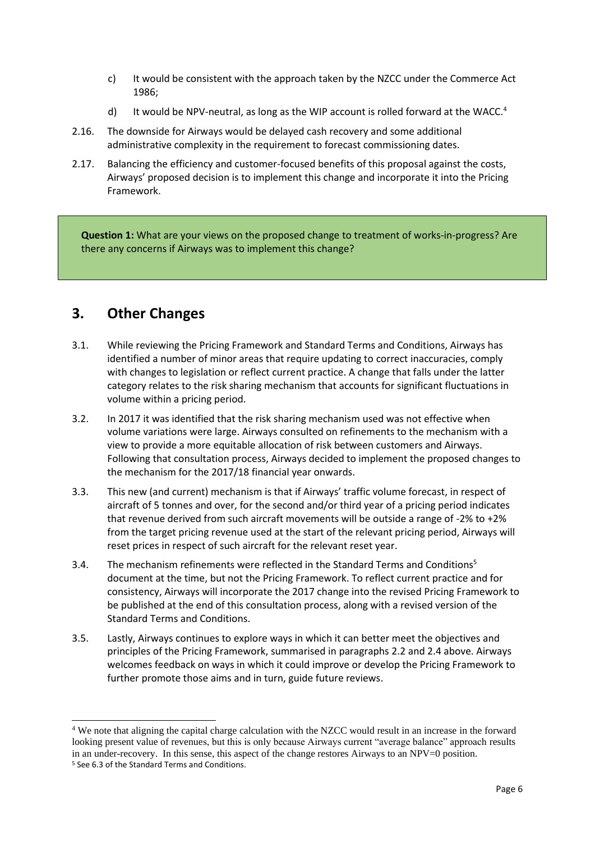- c) It would be consistent with the approach taken by the NZCC under the Commerce Act 1986;
- d) It would be NPV-neutral, as long as the WIP account is rolled forward at the WACC.<sup>4</sup>
- 2.16. The downside for Airways would be delayed cash recovery and some additional administrative complexity in the requirement to forecast commissioning dates.
- 2.17. Balancing the efficiency and customer-focused benefits of this proposal against the costs, Airways' proposed decision is to implement this change and incorporate it into the Pricing Framework.

**Question 1:** What are your views on the proposed change to treatment of works-in-progress? Are there any concerns if Airways was to implement this change?

# <span id="page-5-0"></span>**3. Other Changes**

- 3.1. While reviewing the Pricing Framework and Standard Terms and Conditions, Airways has identified a number of minor areas that require updating to correct inaccuracies, comply with changes to legislation or reflect current practice. A change that falls under the latter category relates to the risk sharing mechanism that accounts for significant fluctuations in volume within a pricing period.
- 3.2. In 2017 it was identified that the risk sharing mechanism used was not effective when volume variations were large. Airways consulted on refinements to the mechanism with a view to provide a more equitable allocation of risk between customers and Airways. Following that consultation process, Airways decided to implement the proposed changes to the mechanism for the 2017/18 financial year onwards.
- 3.3. This new (and current) mechanism is that if Airways' traffic volume forecast, in respect of aircraft of 5 tonnes and over, for the second and/or third year of a pricing period indicates that revenue derived from such aircraft movements will be outside a range of -2% to +2% from the target pricing revenue used at the start of the relevant pricing period, Airways will reset prices in respect of such aircraft for the relevant reset year.
- 3.4. The mechanism refinements were reflected in the Standard Terms and Conditions<sup>5</sup> document at the time, but not the Pricing Framework. To reflect current practice and for consistency, Airways will incorporate the 2017 change into the revised Pricing Framework to be published at the end of this consultation process, along with a revised version of the Standard Terms and Conditions.
- 3.5. Lastly, Airways continues to explore ways in which it can better meet the objectives and principles of the Pricing Framework, summarised in paragraphs 2.2 and 2.4 above. Airways welcomes feedback on ways in which it could improve or develop the Pricing Framework to further promote those aims and in turn, guide future reviews.

<sup>4</sup> We note that aligning the capital charge calculation with the NZCC would result in an increase in the forward looking present value of revenues, but this is only because Airways current "average balance" approach results in an under-recovery. In this sense, this aspect of the change restores Airways to an NPV=0 position. <sup>5</sup> See 6.3 of the Standard Terms and Conditions.